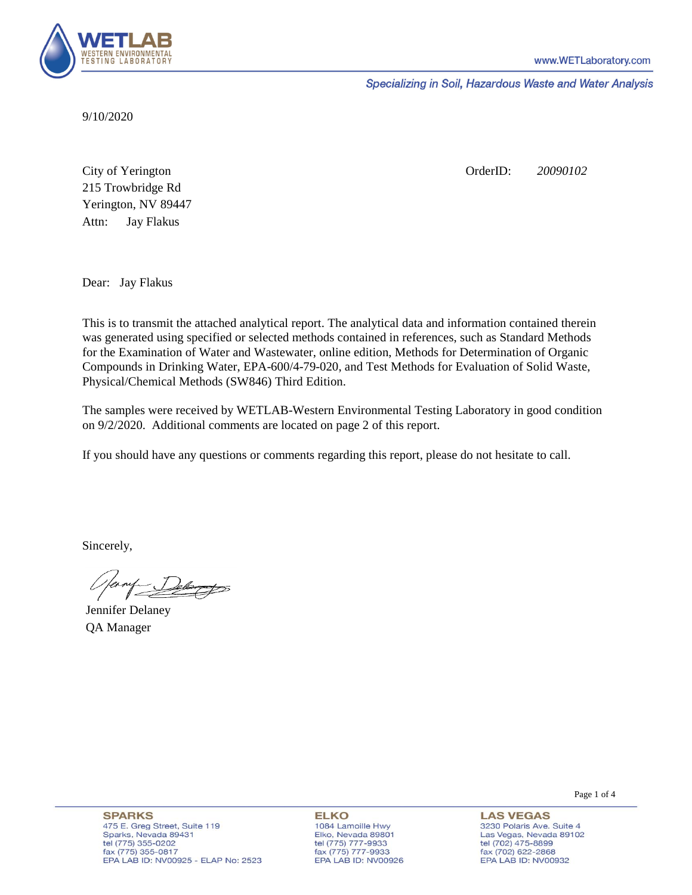

Specializing in Soil, Hazardous Waste and Water Analysis

9/10/2020

Attn: City of Yerington 215 Trowbridge Rd Jay Flakus Yerington, NV 89447 OrderID: *20090102*

Dear: Jay Flakus

This is to transmit the attached analytical report. The analytical data and information contained therein was generated using specified or selected methods contained in references, such as Standard Methods for the Examination of Water and Wastewater, online edition, Methods for Determination of Organic Compounds in Drinking Water, EPA-600/4-79-020, and Test Methods for Evaluation of Solid Waste, Physical/Chemical Methods (SW846) Third Edition.

The samples were received by WETLAB-Western Environmental Testing Laboratory in good condition on 9/2/2020. Additional comments are located on page 2 of this report.

If you should have any questions or comments regarding this report, please do not hesitate to call.

Sincerely,

ernf Delarges

Jennifer Delaney QA Manager

Page 1 of 4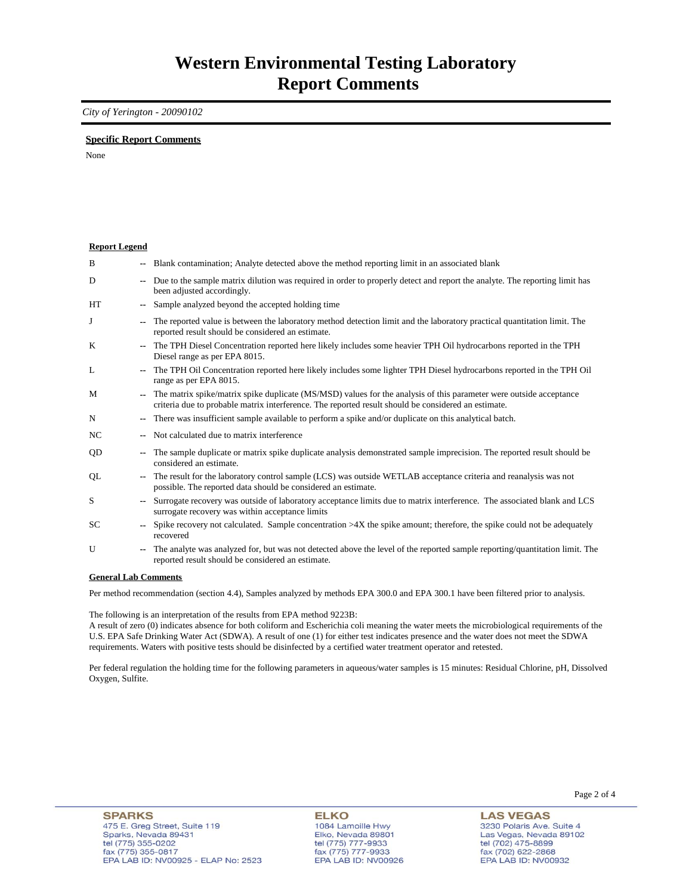### *City of Yerington - 20090102*

### **Specific Report Comments**

None

| <b>Report Legend</b> |                          |                                                                                                                                                                                                                           |
|----------------------|--------------------------|---------------------------------------------------------------------------------------------------------------------------------------------------------------------------------------------------------------------------|
| B                    |                          | -- Blank contamination; Analyte detected above the method reporting limit in an associated blank                                                                                                                          |
| D                    |                          | -- Due to the sample matrix dilution was required in order to properly detect and report the analyte. The reporting limit has<br>been adjusted accordingly.                                                               |
| HT                   |                          | Sample analyzed beyond the accepted holding time                                                                                                                                                                          |
| J                    |                          | The reported value is between the laboratory method detection limit and the laboratory practical quantitation limit. The<br>reported result should be considered an estimate.                                             |
| K                    | $\overline{a}$           | The TPH Diesel Concentration reported here likely includes some heavier TPH Oil hydrocarbons reported in the TPH<br>Diesel range as per EPA 8015.                                                                         |
| L                    |                          | The TPH Oil Concentration reported here likely includes some lighter TPH Diesel hydrocarbons reported in the TPH Oil<br>range as per EPA 8015.                                                                            |
| M                    |                          | The matrix spike/matrix spike duplicate (MS/MSD) values for the analysis of this parameter were outside acceptance<br>criteria due to probable matrix interference. The reported result should be considered an estimate. |
| N                    | $\overline{\phantom{a}}$ | There was insufficient sample available to perform a spike and/or duplicate on this analytical batch.                                                                                                                     |
| NC                   |                          | Not calculated due to matrix interference                                                                                                                                                                                 |
| QD                   | -−                       | The sample duplicate or matrix spike duplicate analysis demonstrated sample imprecision. The reported result should be<br>considered an estimate.                                                                         |
| QL                   | --                       | The result for the laboratory control sample (LCS) was outside WETLAB acceptance criteria and reanalysis was not<br>possible. The reported data should be considered an estimate.                                         |
| S                    |                          | Surrogate recovery was outside of laboratory acceptance limits due to matrix interference. The associated blank and LCS<br>surrogate recovery was within acceptance limits                                                |
| SC                   |                          | Spike recovery not calculated. Sample concentration $>4X$ the spike amount; therefore, the spike could not be adequately<br>recovered                                                                                     |
| U                    |                          | The analyte was analyzed for, but was not detected above the level of the reported sample reporting/quantitation limit. The<br>reported result should be considered an estimate.                                          |
| $\sim$               |                          | $\mathbf{r}$ $\mathbf{r}$ $\alpha$                                                                                                                                                                                        |

#### **General Lab Comments**

Per method recommendation (section 4.4), Samples analyzed by methods EPA 300.0 and EPA 300.1 have been filtered prior to analysis.

The following is an interpretation of the results from EPA method 9223B:

A result of zero (0) indicates absence for both coliform and Escherichia coli meaning the water meets the microbiological requirements of the U.S. EPA Safe Drinking Water Act (SDWA). A result of one (1) for either test indicates presence and the water does not meet the SDWA requirements. Waters with positive tests should be disinfected by a certified water treatment operator and retested.

Per federal regulation the holding time for the following parameters in aqueous/water samples is 15 minutes: Residual Chlorine, pH, Dissolved Oxygen, Sulfite.

**ELKO** 1084 Lamoille Hwy Elko, Nevada 89801 tel (775) 777-9933<br>fax (775) 777-9933 EPA LAB ID: NV00926 Page 2 of 4

**LAS VEGAS** 3230 Polaris Ave. Suite 4 Las Vegas, Nevada 89102 tel (702) 475-8899<br>fax (702) 622-2868 EPA LAB ID: NV00932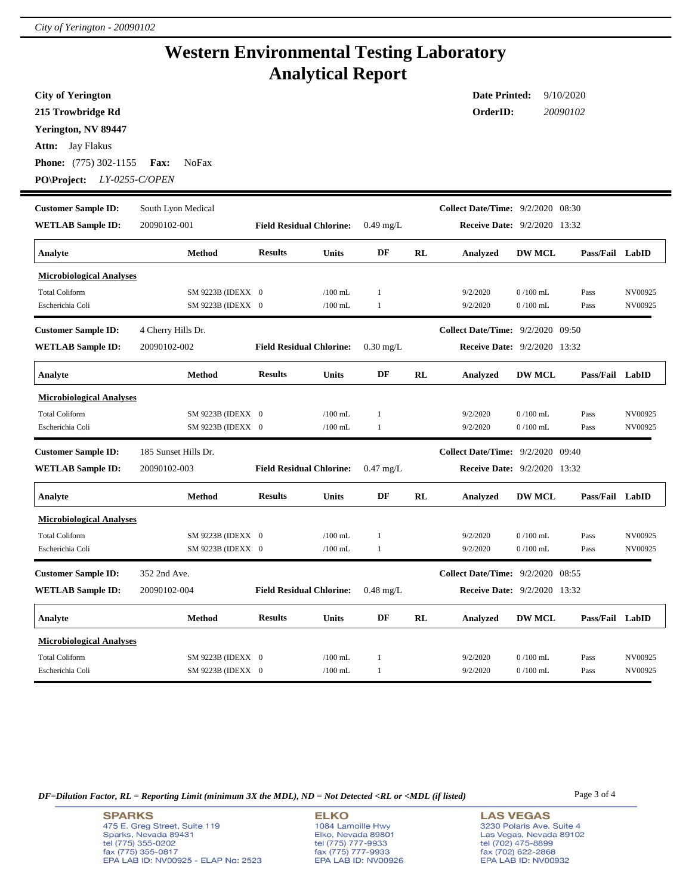# **Western Environmental Testing Laboratory Analytical Report**

| <b>City of Yerington</b>                                                                   |                      |                                 |                                                            |                                     |           | <b>Date Printed:</b>                     |                      | 9/10/2020       |         |  |  |
|--------------------------------------------------------------------------------------------|----------------------|---------------------------------|------------------------------------------------------------|-------------------------------------|-----------|------------------------------------------|----------------------|-----------------|---------|--|--|
| 215 Trowbridge Rd                                                                          |                      |                                 |                                                            |                                     |           |                                          | OrderID:<br>20090102 |                 |         |  |  |
| Yerington, NV 89447                                                                        |                      |                                 |                                                            |                                     |           |                                          |                      |                 |         |  |  |
| Jay Flakus<br>Attn:                                                                        |                      |                                 |                                                            |                                     |           |                                          |                      |                 |         |  |  |
| <b>Phone:</b> (775) 302-1155                                                               | <b>NoFax</b><br>Fax: |                                 |                                                            |                                     |           |                                          |                      |                 |         |  |  |
| PO\Project:                                                                                | LY-0255-C/OPEN       |                                 |                                                            |                                     |           |                                          |                      |                 |         |  |  |
|                                                                                            |                      |                                 |                                                            |                                     |           |                                          |                      |                 |         |  |  |
| <b>Customer Sample ID:</b>                                                                 | South Lyon Medical   |                                 |                                                            |                                     |           | <b>Collect Date/Time:</b> 9/2/2020 08:30 |                      |                 |         |  |  |
| <b>WETLAB Sample ID:</b>                                                                   | 20090102-001         | <b>Field Residual Chlorine:</b> |                                                            | $0.49$ mg/L                         |           | <b>Receive Date:</b> 9/2/2020 13:32      |                      |                 |         |  |  |
| Analyte                                                                                    | <b>Method</b>        | <b>Results</b>                  | <b>Units</b>                                               | DF                                  | <b>RL</b> | Analyzed                                 | <b>DW MCL</b>        | Pass/Fail LabID |         |  |  |
| <b>Microbiological Analyses</b>                                                            |                      |                                 |                                                            |                                     |           |                                          |                      |                 |         |  |  |
| <b>Total Coliform</b>                                                                      | SM 9223B (IDEXX 0    |                                 | $/100$ mL                                                  | $\mathbf{1}$                        |           | 9/2/2020                                 | $0/100$ mL           | Pass            | NV00925 |  |  |
| Escherichia Coli                                                                           | SM 9223B (IDEXX 0    |                                 | $/100$ mL                                                  | $\mathbf{1}$                        |           | 9/2/2020                                 | $0/100$ mL           | Pass            | NV00925 |  |  |
| <b>Customer Sample ID:</b>                                                                 | 4 Cherry Hills Dr.   |                                 |                                                            |                                     |           | <b>Collect Date/Time:</b> 9/2/2020 09:50 |                      |                 |         |  |  |
| <b>WETLAB Sample ID:</b>                                                                   | 20090102-002         | <b>Field Residual Chlorine:</b> |                                                            | $0.30$ mg/L                         |           | <b>Receive Date: 9/2/2020 13:32</b>      |                      |                 |         |  |  |
| Analyte                                                                                    | <b>Method</b>        | <b>Results</b>                  | <b>Units</b>                                               | DF                                  | RL        | Analyzed                                 | <b>DW MCL</b>        | Pass/Fail LabID |         |  |  |
| <b>Microbiological Analyses</b>                                                            |                      |                                 |                                                            |                                     |           |                                          |                      |                 |         |  |  |
| <b>Total Coliform</b>                                                                      | SM 9223B (IDEXX 0    |                                 | $/100$ mL                                                  | $\mathbf{1}$                        |           | 9/2/2020                                 | $0/100$ mL           | Pass            | NV00925 |  |  |
| Escherichia Coli                                                                           | SM 9223B (IDEXX 0    |                                 | $/100$ mL                                                  | $\mathbf{1}$                        |           | 9/2/2020                                 | $0/100$ mL           | Pass            | NV00925 |  |  |
| <b>Customer Sample ID:</b>                                                                 | 185 Sunset Hills Dr. |                                 |                                                            |                                     |           | <b>Collect Date/Time:</b> 9/2/2020 09:40 |                      |                 |         |  |  |
| <b>WETLAB Sample ID:</b><br>20090102-003<br><b>Field Residual Chlorine:</b><br>$0.47$ mg/L |                      |                                 |                                                            | <b>Receive Date: 9/2/2020 13:32</b> |           |                                          |                      |                 |         |  |  |
| Analyte                                                                                    | Method               | <b>Results</b>                  | <b>Units</b>                                               | DF                                  | RL        | Analyzed                                 | <b>DW MCL</b>        | Pass/Fail LabID |         |  |  |
| <b>Microbiological Analyses</b>                                                            |                      |                                 |                                                            |                                     |           |                                          |                      |                 |         |  |  |
| <b>Total Coliform</b>                                                                      | SM 9223B (IDEXX 0    |                                 | $/100$ mL                                                  | $\mathbf{1}$                        |           | 9/2/2020                                 | $0/100$ mL           | Pass            | NV00925 |  |  |
| Escherichia Coli                                                                           | SM 9223B (IDEXX 0    |                                 | $/100$ mL                                                  | $\mathbf{1}$                        |           | 9/2/2020                                 | $0/100$ mL           | Pass            | NV00925 |  |  |
| <b>Customer Sample ID:</b>                                                                 | 352 2nd Ave.         |                                 |                                                            |                                     |           | <b>Collect Date/Time:</b> 9/2/2020 08:55 |                      |                 |         |  |  |
| <b>WETLAB Sample ID:</b>                                                                   | 20090102-004         | <b>Field Residual Chlorine:</b> | $0.48 \text{ mg/L}$<br><b>Receive Date:</b> 9/2/2020 13:32 |                                     |           |                                          |                      |                 |         |  |  |
| Analyte                                                                                    | Method               | <b>Results</b>                  | <b>Units</b>                                               | DF                                  | RL        | <b>Analyzed</b>                          | <b>DW MCL</b>        | Pass/Fail LabID |         |  |  |
| <b>Microbiological Analyses</b>                                                            |                      |                                 |                                                            |                                     |           |                                          |                      |                 |         |  |  |
| <b>Total Coliform</b>                                                                      | SM 9223B (IDEXX 0    |                                 | $/100$ mL                                                  | $\mathbf{1}$                        |           | 9/2/2020                                 | $0/100$ mL           | Pass            | NV00925 |  |  |
| Escherichia Coli                                                                           | SM 9223B (IDEXX 0    |                                 | $/100$ mL                                                  | $\mathbf{1}$                        |           | 9/2/2020                                 | $0/100$ mL           | Pass            | NV00925 |  |  |

*DF=Dilution Factor, RL = Reporting Limit (minimum 3X the MDL), ND = Not Detected <RL or <MDL (if listed)* Page 3 of 4

**ELKO** 1084 Lamoille Hwy Elko, Nevada 89801<br>tel (775) 777-9933<br>fax (775) 777-9933 EPA LAB ID: NV00926 **LAS VEGAS** 3230 Polaris Ave. Suite 4 Las Vegas, Nevada 89102 tel (702) 475-8899<br>fax (702) 622-2868<br>EPA LAB ID: NV00932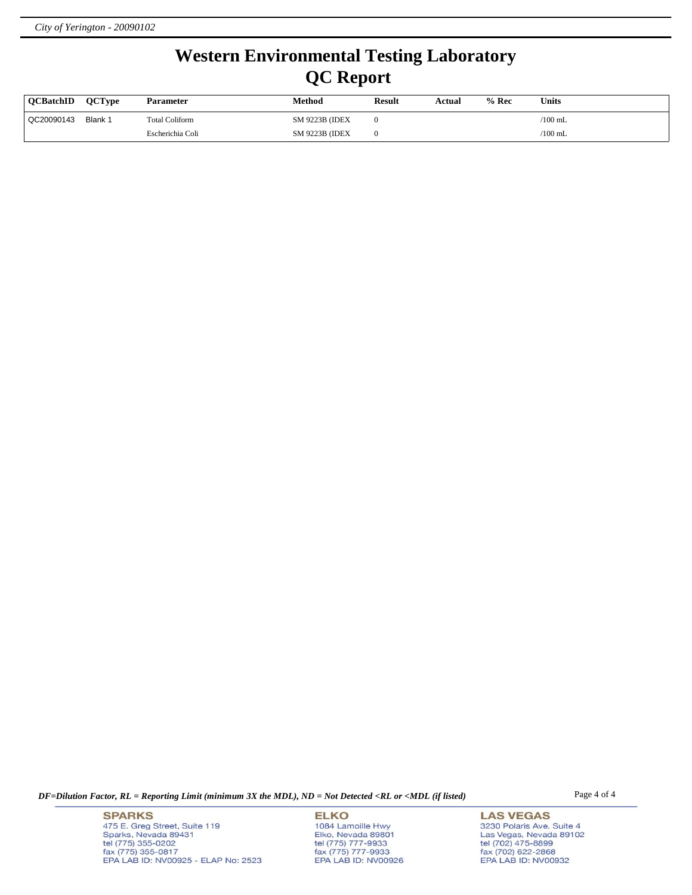# **Western Environmental Testing Laboratory QC Report**

| <b>OCBatchID</b> | <b>OCTvpe</b> | <b>Parameter</b>      | Method                 | <b>Result</b> | Actual | $%$ Rec | <b>Units</b> |
|------------------|---------------|-----------------------|------------------------|---------------|--------|---------|--------------|
| QC20090143       | Blank 1       | <b>Total Coliform</b> | <b>SM 9223B (IDEX)</b> |               |        |         | /100 mL      |
|                  |               | Escherichia Coli      | <b>SM 9223B (IDEX)</b> |               |        |         | $/100$ mL    |

*DF=Dilution Factor, RL = Reporting Limit (minimum 3X the MDL), ND = Not Detected <RL or <MDL (if listed)* Page 4 of 4

**SPARKS** 475 E. Greg Street, Suite 119 Sparks, Nevada 89431<br>tel (775) 355-0202<br>fax (775) 355-0817 EPA LAB ID: NV00925 - ELAP No: 2523

**ELKO** 1084 Lamoille Hwy Elko, Nevada 89801<br>tel (775) 777-9933<br>fax (775) 777-9933 EPA LAB ID: NV00926

**LAS VEGAS** 3230 Polaris Ave. Suite 4 Las Vegas, Nevada 89102<br>tel (702) 475-8899<br>fax (702) 622-2868<br>EPA LAB ID: NV00932